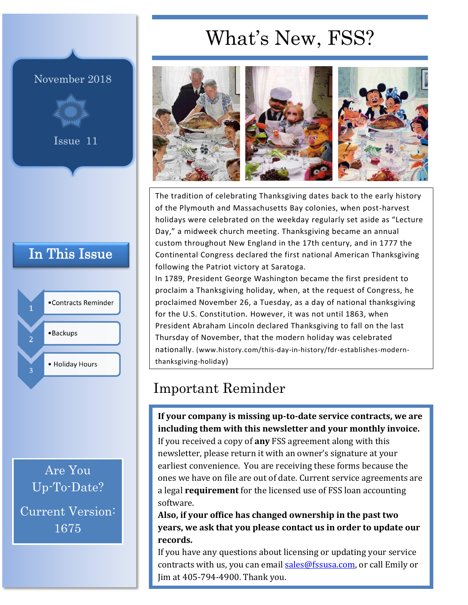# What's New, FSS?

#### November 2018



Issue 11

### In This Issue



Are You Up-To-Date? Current Version: 1675



The tradition of celebrating Thanksgiving dates back to the early history of the Plymouth and [Massachusetts](https://www.history.com/topics/us-states/massachusetts) Bay colonies, when post-harvest holidays were celebrated on the weekday regularly set aside as "Lecture Day," a midweek church meeting. Thanksgiving became an annual custom throughout New England in the 17th century, and in 1777 the Continental Congress declared the first national American Thanksgiving following the Patriot victory at Saratoga.

In 1789, President [George Washington](https://www.history.com/topics/us-presidents/george-washington) became the first president to proclaim a Thanksgiving holiday, when, at the request of Congress, he proclaimed November 26, a Tuesday, as a day of national thanksgiving for the U.S. [Constitution.](https://www.history.com/topics/constitution) However, it was not until 1863, when President [Abraham Lincoln](https://www.history.com/topics/us-presidents/abraham-lincoln) declared Thanksgiving to fall on the last Thursday of November, that the modern holiday was celebrated nationally. (www.history.com/this-day-in-history/fdr-establishes-modernthanksgiving-holiday)

## Important Reminder

**If your company is missing up-to-date service contracts, we are including them with this newsletter and your monthly invoice.**

If you received a copy of **any** FSS agreement along with this newsletter, please return it with an owner's signature at your earliest convenience. You are receiving these forms because the ones we have on file are out of date. Current service agreements are a legal **requirement** for the licensed use of FSS loan accounting software.

**Also, if your office has changed ownership in the past two years, we ask that you please contact us in order to update our records.** 

If you have any questions about licensing or updating your service contracts with us, you can email [sales@fssusa.com,](mailto:sales@fssusa.com) or call Emily or Jim at 405-794-4900. Thank you.